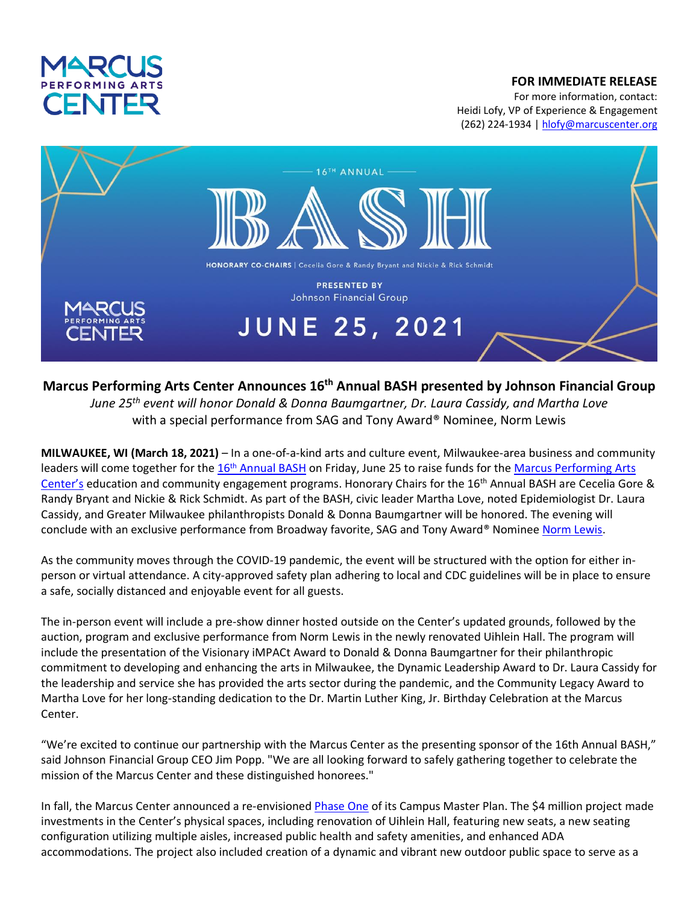

## **FOR IMMEDIATE RELEASE**

For more information, contact: Heidi Lofy, VP of Experience & Engagement (262) 224-1934 [| hlofy@marcuscenter.org](mailto:hlofy@marcuscenter.org)



## **Marcus Performing Arts Center Announces 16th Annual BASH presented by Johnson Financial Group**

*June 25th event will honor Donald & Donna Baumgartner, Dr. Laura Cassidy, and Martha Love* with a special performance from SAG and Tony Award® Nominee, Norm Lewis

**MILWAUKEE, WI (March 18, 2021)** – In a one-of-a-kind arts and culture event, Milwaukee-area business and community leaders will come together for the 16<sup>th</sup> [Annual BASH](https://www.marcuscenter.org/support/broadway-bash) on Friday, June 25 to raise funds for the Marcus Performing Arts [Center's](https://www.marcuscenter.org/) education and community engagement programs. Honorary Chairs for the 16<sup>th</sup> Annual BASH are Cecelia Gore & Randy Bryant and Nickie & Rick Schmidt. As part of the BASH, civic leader Martha Love, noted Epidemiologist Dr. Laura Cassidy, and Greater Milwaukee philanthropists Donald & Donna Baumgartner will be honored. The evening will conclude with an exclusive performance from Broadway favorite, SAG and Tony Award® Nominee [Norm Lewis.](http://www.normlewis.com/)

As the community moves through the COVID-19 pandemic, the event will be structured with the option for either inperson or virtual attendance. A city-approved safety plan adhering to local and CDC guidelines will be in place to ensure a safe, socially distanced and enjoyable event for all guests.

The in-person event will include a pre-show dinner hosted outside on the Center's updated grounds, followed by the auction, program and exclusive performance from Norm Lewis in the newly renovated Uihlein Hall. The program will include the presentation of the Visionary iMPACt Award to Donald & Donna Baumgartner for their philanthropic commitment to developing and enhancing the arts in Milwaukee, the Dynamic Leadership Award to Dr. Laura Cassidy for the leadership and service she has provided the arts sector during the pandemic, and the Community Legacy Award to Martha Love for her long-standing dedication to the Dr. Martin Luther King, Jr. Birthday Celebration at the Marcus Center.

"We're excited to continue our partnership with the Marcus Center as the presenting sponsor of the 16th Annual BASH," said Johnson Financial Group CEO Jim Popp. "We are all looking forward to safely gathering together to celebrate the mission of the Marcus Center and these distinguished honorees."

In fall, the Marcus Center announced a re-envisione[d Phase One](https://www.marcuscenter.org/uihlein-hall-renovation-2020) of its Campus Master Plan. The \$4 million project made investments in the Center's physical spaces, including renovation of Uihlein Hall, featuring new seats, a new seating configuration utilizing multiple aisles, increased public health and safety amenities, and enhanced ADA accommodations. The project also included creation of a dynamic and vibrant new outdoor public space to serve as a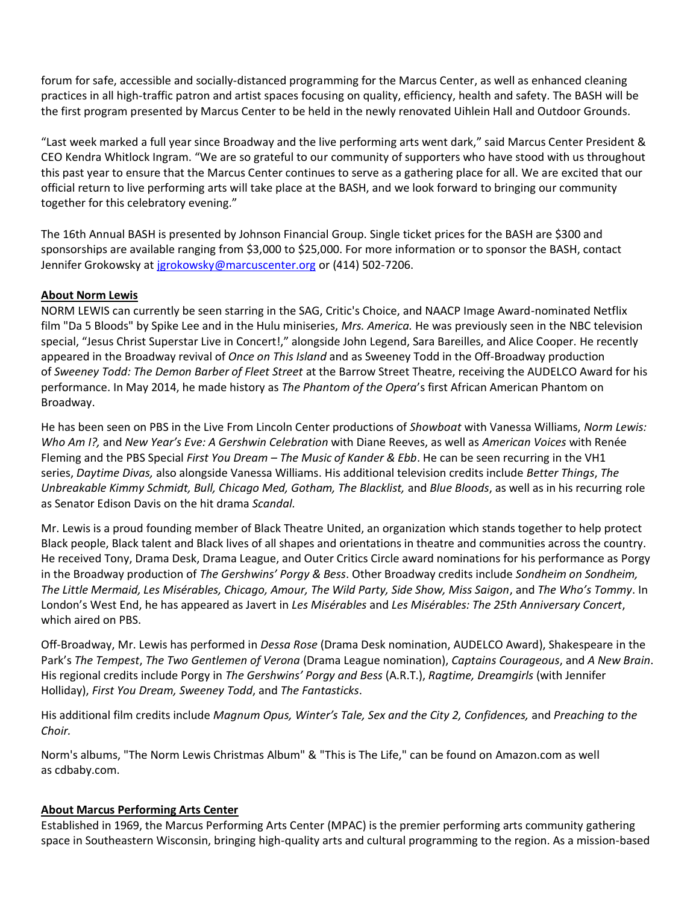forum for safe, accessible and socially-distanced programming for the Marcus Center, as well as enhanced cleaning practices in all high-traffic patron and artist spaces focusing on quality, efficiency, health and safety. The BASH will be the first program presented by Marcus Center to be held in the newly renovated Uihlein Hall and Outdoor Grounds.

"Last week marked a full year since Broadway and the live performing arts went dark," said Marcus Center President & CEO Kendra Whitlock Ingram. "We are so grateful to our community of supporters who have stood with us throughout this past year to ensure that the Marcus Center continues to serve as a gathering place for all. We are excited that our official return to live performing arts will take place at the BASH, and we look forward to bringing our community together for this celebratory evening."

The 16th Annual BASH is presented by Johnson Financial Group. Single ticket prices for the BASH are \$300 and sponsorships are available ranging from \$3,000 to \$25,000. For more information or to sponsor the BASH, contact Jennifer Grokowsky at [jgrokowsky@marcuscenter.org](mailto:jgrokowsky@marcuscenter.org) or (414) 502-7206.

## **About Norm Lewis**

NORM LEWIS can currently be seen starring in the SAG, Critic's Choice, and NAACP Image Award-nominated Netflix film "Da 5 Bloods" by Spike Lee and in the Hulu miniseries, *Mrs. America.* He was previously seen in the NBC television special, "Jesus Christ Superstar Live in Concert!," alongside John Legend, Sara Bareilles, and Alice Cooper. He recently appeared in the Broadway revival of *Once on This Island* and as Sweeney Todd in the Off-Broadway production of *Sweeney Todd: The Demon Barber of Fleet Street* at the Barrow Street Theatre, receiving the AUDELCO Award for his performance. In May 2014, he made history as *The Phantom of the Opera*'s first African American Phantom on Broadway.

He has been seen on PBS in the Live From Lincoln Center productions of *Showboat* with Vanessa Williams, *Norm Lewis: Who Am I?,* and *New Year's Eve: A Gershwin Celebration* with Diane Reeves, as well as *American Voices* with Renée Fleming and the PBS Special *First You Dream – The Music of Kander & Ebb*. He can be seen recurring in the VH1 series, *Daytime Divas,* also alongside Vanessa Williams. His additional television credits include *Better Things*, *The Unbreakable Kimmy Schmidt, Bull, Chicago Med, Gotham, The Blacklist,* and *Blue Bloods*, as well as in his recurring role as Senator Edison Davis on the hit drama *Scandal.*

Mr. Lewis is a proud founding member of Black Theatre United, an organization which stands together to help protect Black people, Black talent and Black lives of all shapes and orientations in theatre and communities across the country. He received Tony, Drama Desk, Drama League, and Outer Critics Circle award nominations for his performance as Porgy in the Broadway production of *The Gershwins' Porgy & Bess*. Other Broadway credits include *Sondheim on Sondheim, The Little Mermaid, Les Misérables, Chicago, Amour, The Wild Party, Side Show, Miss Saigon*, and *The Who's Tommy*. In London's West End, he has appeared as Javert in *Les Misérables* and *Les Misérables: The 25th Anniversary Concert*, which aired on PBS.

Off-Broadway, Mr. Lewis has performed in *Dessa Rose* (Drama Desk nomination, AUDELCO Award), Shakespeare in the Park's *The Tempest*, *The Two Gentlemen of Verona* (Drama League nomination), *Captains Courageous*, and *A New Brain*. His regional credits include Porgy in *The Gershwins' Porgy and Bess* (A.R.T.), *Ragtime, Dreamgirls* (with Jennifer Holliday), *First You Dream, Sweeney Todd*, and *The Fantasticks*.

His additional film credits include *Magnum Opus, Winter's Tale, Sex and the City 2, Confidences,* and *Preaching to the Choir.*

Norm's albums, "The Norm Lewis Christmas Album" & "This is The Life," can be found on Amazon.com as well as cdbaby.com.

## **About Marcus Performing Arts Center**

Established in 1969, the Marcus Performing Arts Center (MPAC) is the premier performing arts community gathering space in Southeastern Wisconsin, bringing high-quality arts and cultural programming to the region. As a mission-based